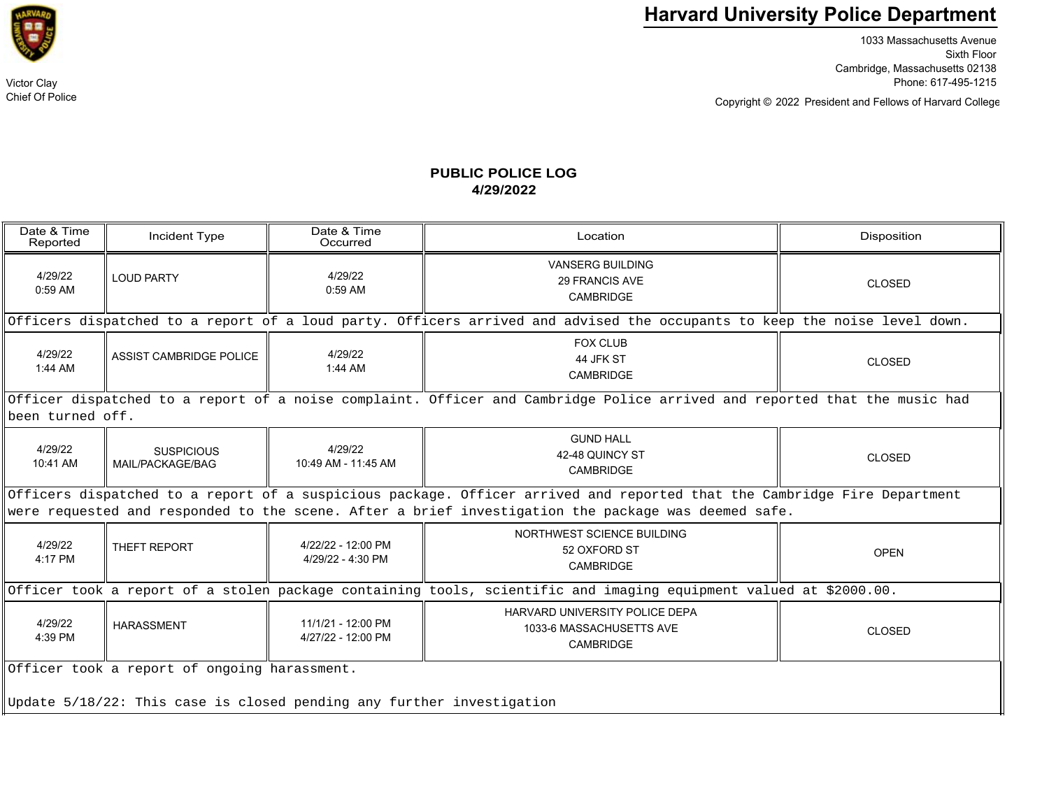

1033 Massachusetts Avenue Sixth Floor Cambridge, Massachusetts 02138 Victor Clay Phone: 617-495-1215

Copyright © President and Fellows of Harvard College 2022

## **PUBLIC POLICE LOG4/29/2022**

| Date & Time<br>Reported                                                                                                                                                                                                         | Incident Type                         | Date & Time<br>Occurred                  | Location                                                                | <b>Disposition</b> |  |  |  |
|---------------------------------------------------------------------------------------------------------------------------------------------------------------------------------------------------------------------------------|---------------------------------------|------------------------------------------|-------------------------------------------------------------------------|--------------------|--|--|--|
| 4/29/22<br>$0:59$ AM                                                                                                                                                                                                            | <b>LOUD PARTY</b>                     | 4/29/22<br>$0:59$ AM                     | <b>VANSERG BUILDING</b><br><b>29 FRANCIS AVE</b><br>CAMBRIDGE           | CLOSED             |  |  |  |
| Officers dispatched to a report of a loud party. Officers arrived and advised the occupants to keep the noise level down.                                                                                                       |                                       |                                          |                                                                         |                    |  |  |  |
| 4/29/22<br>$1:44$ AM                                                                                                                                                                                                            | ASSIST CAMBRIDGE POLICE               | 4/29/22<br>$1:44$ AM                     | <b>FOX CLUB</b><br>44 JFK ST<br><b>CAMBRIDGE</b>                        | <b>CLOSED</b>      |  |  |  |
| Officer dispatched to a report of a noise complaint. Officer and Cambridge Police arrived and reported that the music had<br>been turned off.                                                                                   |                                       |                                          |                                                                         |                    |  |  |  |
| 4/29/22<br>10:41 AM                                                                                                                                                                                                             | <b>SUSPICIOUS</b><br>MAIL/PACKAGE/BAG | 4/29/22<br>10:49 AM - 11:45 AM           | <b>GUND HALL</b><br>42-48 QUINCY ST<br><b>CAMBRIDGE</b>                 | <b>CLOSED</b>      |  |  |  |
| Officers dispatched to a report of a suspicious package. Officer arrived and reported that the Cambridge Fire Department<br>were requested and responded to the scene. After a brief investigation the package was deemed safe. |                                       |                                          |                                                                         |                    |  |  |  |
| 4/29/22<br>4:17 PM                                                                                                                                                                                                              | THEFT REPORT                          | 4/22/22 - 12:00 PM<br>4/29/22 - 4:30 PM  | NORTHWEST SCIENCE BUILDING<br>52 OXFORD ST<br>CAMBRIDGE                 | <b>OPEN</b>        |  |  |  |
| Officer took a report of a stolen package containing tools, scientific and imaging equipment valued at \$2000.00.                                                                                                               |                                       |                                          |                                                                         |                    |  |  |  |
| 4/29/22<br>4:39 PM                                                                                                                                                                                                              | <b>HARASSMENT</b>                     | 11/1/21 - 12:00 PM<br>4/27/22 - 12:00 PM | HARVARD UNIVERSITY POLICE DEPA<br>1033-6 MASSACHUSETTS AVE<br>CAMBRIDGE | CLOSED             |  |  |  |
| Officer took a report of ongoing harassment.<br>Update 5/18/22: This case is closed pending any further investigation                                                                                                           |                                       |                                          |                                                                         |                    |  |  |  |



Chief Of Police

 $\overline{a}$   $\overline{r}$